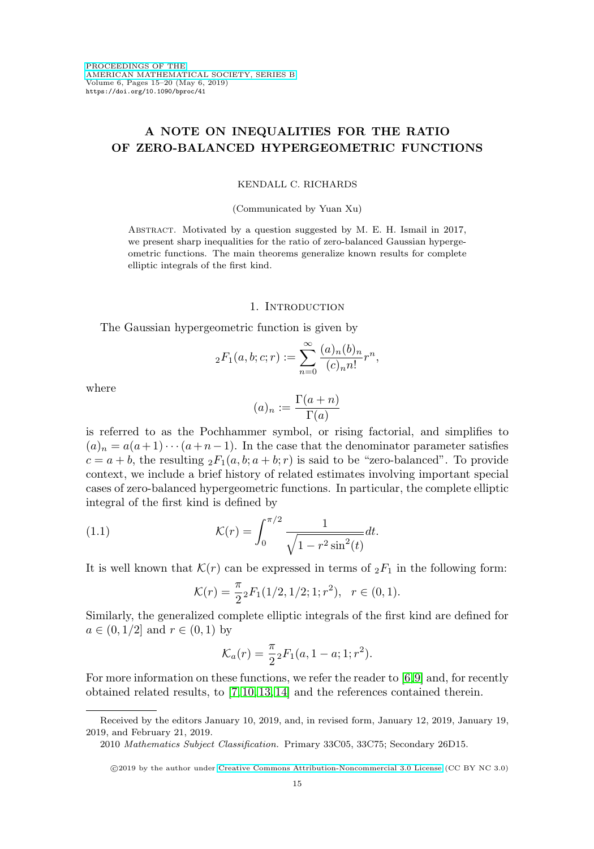# **A NOTE ON INEQUALITIES FOR THE RATIO OF ZERO-BALANCED HYPERGEOMETRIC FUNCTIONS**

### KENDALL C. RICHARDS

#### (Communicated by Yuan Xu)

Abstract. Motivated by a question suggested by M. E. H. Ismail in 2017, we present sharp inequalities for the ratio of zero-balanced Gaussian hypergeometric functions. The main theorems generalize known results for complete elliptic integrals of the first kind.

### 1. INTRODUCTION

The Gaussian hypergeometric function is given by

$$
{}_2F_1(a, b; c; r) := \sum_{n=0}^{\infty} \frac{(a)_n (b)_n}{(c)_n n!} r^n,
$$

where

$$
(a)_n := \frac{\Gamma(a+n)}{\Gamma(a)}
$$

is referred to as the Pochhammer symbol, or rising factorial, and simplifies to  $(a)_n = a(a+1)\cdots(a+n-1)$ . In the case that the denominator parameter satisfies  $c = a + b$ , the resulting  ${}_2F_1(a, b; a + b; r)$  is said to be "zero-balanced". To provide context, we include a brief history of related estimates involving important special cases of zero-balanced hypergeometric functions. In particular, the complete elliptic integral of the first kind is defined by

(1.1) 
$$
\mathcal{K}(r) = \int_0^{\pi/2} \frac{1}{\sqrt{1 - r^2 \sin^2(t)}} dt.
$$

It is well known that  $\mathcal{K}(r)$  can be expressed in terms of  ${}_2F_1$  in the following form:

$$
\mathcal{K}(r) = \frac{\pi}{2} {}_2F_1(1/2, 1/2; 1; r^2), \quad r \in (0, 1).
$$

Similarly, the generalized complete elliptic integrals of the first kind are defined for  $a \in (0, 1/2]$  and  $r \in (0, 1)$  by

$$
\mathcal{K}_a(r) = \frac{\pi}{2}{}_2F_1(a, 1-a; 1; r^2).
$$

For more information on these functions, we refer the reader to [\[6,](#page-4-0)[9\]](#page-4-1) and, for recently obtained related results, to [\[7,](#page-4-2) [10,](#page-4-3) [13,](#page-5-0) [14\]](#page-5-1) and the references contained therein.

Received by the editors January 10, 2019, and, in revised form, January 12, 2019, January 19, 2019, and February 21, 2019.

<sup>2010</sup> Mathematics Subject Classification. Primary 33C05, 33C75; Secondary 26D15.

<sup>©2019</sup> by the author under [Creative Commons Attribution-Noncommercial 3.0 License](https://creativecommons.org/licenses/by-nc/3.0/) (CC BY NC 3.0)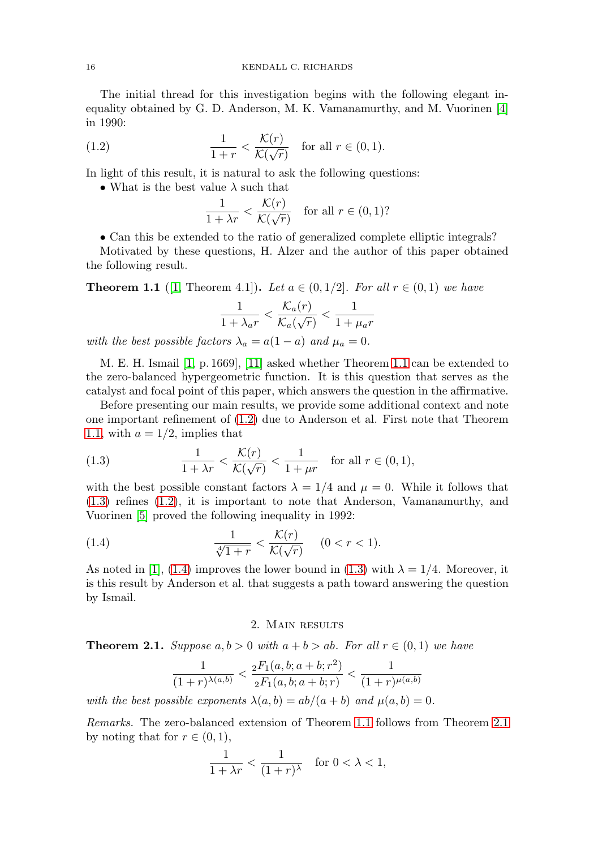The initial thread for this investigation begins with the following elegant inequality obtained by G. D. Anderson, M. K. Vamanamurthy, and M. Vuorinen [\[4\]](#page-4-4) in 1990:

<span id="page-1-1"></span>(1.2) 
$$
\frac{1}{1+r} < \frac{\mathcal{K}(r)}{\mathcal{K}(\sqrt{r})} \quad \text{for all } r \in (0,1).
$$

In light of this result, it is natural to ask the following questions:

• What is the best value  $\lambda$  such that

$$
\frac{1}{1 + \lambda r} < \frac{\mathcal{K}(r)}{\mathcal{K}(\sqrt{r})} \quad \text{for all } r \in (0, 1)?
$$

• Can this be extended to the ratio of generalized complete elliptic integrals?

Motivated by these questions, H. Alzer and the author of this paper obtained the following result.

<span id="page-1-0"></span>**Theorem 1.1** ([\[1,](#page-4-5) Theorem 4.1]). Let  $a \in (0, 1/2]$ . For all  $r \in (0, 1)$  we have

$$
\frac{1}{1 + \lambda_a r} < \frac{\mathcal{K}_a(r)}{\mathcal{K}_a(\sqrt{r})} < \frac{1}{1 + \mu_a r}
$$

with the best possible factors  $\lambda_a = a(1 - a)$  and  $\mu_a = 0$ .

M. E. H. Ismail [\[1,](#page-4-5) p. 1669], [\[11\]](#page-4-6) asked whether Theorem [1.1](#page-1-0) can be extended to the zero-balanced hypergeometric function. It is this question that serves as the catalyst and focal point of this paper, which answers the question in the affirmative.

Before presenting our main results, we provide some additional context and note one important refinement of [\(1.2\)](#page-1-1) due to Anderson et al. First note that Theorem [1.1,](#page-1-0) with  $a = 1/2$ , implies that

<span id="page-1-2"></span>(1.3) 
$$
\frac{1}{1+\lambda r} < \frac{\mathcal{K}(r)}{\mathcal{K}(\sqrt{r})} < \frac{1}{1+\mu r} \quad \text{for all } r \in (0,1),
$$

with the best possible constant factors  $\lambda = 1/4$  and  $\mu = 0$ . While it follows that [\(1.3\)](#page-1-2) refines [\(1.2\)](#page-1-1), it is important to note that Anderson, Vamanamurthy, and Vuorinen [\[5\]](#page-4-7) proved the following inequality in 1992:

<span id="page-1-3"></span>(1.4) 
$$
\frac{1}{\sqrt[4]{1+r}} < \frac{\mathcal{K}(r)}{\mathcal{K}(\sqrt{r})} \quad (0 < r < 1).
$$

As noted in [\[1\]](#page-4-5), [\(1.4\)](#page-1-3) improves the lower bound in [\(1.3\)](#page-1-2) with  $\lambda = 1/4$ . Moreover, it is this result by Anderson et al. that suggests a path toward answering the question by Ismail.

## 2. Main results

<span id="page-1-4"></span>**Theorem 2.1.** Suppose  $a, b > 0$  with  $a + b > ab$ . For all  $r \in (0, 1)$  we have

$$
\frac{1}{(1+r)^{\lambda(a,b)}} < \frac{{}_2F_1(a,b;a+b;r^2)}{{}_2F_1(a,b;a+b;r)} < \frac{1}{(1+r)^{\mu(a,b)}}
$$

with the best possible exponents  $\lambda(a, b) = ab/(a + b)$  and  $\mu(a, b) = 0$ .

Remarks. The zero-balanced extension of Theorem [1.1](#page-1-0) follows from Theorem [2.1](#page-1-4) by noting that for  $r \in (0,1)$ ,

$$
\frac{1}{1+\lambda r} < \frac{1}{(1+r)^{\lambda}} \quad \text{for } 0 < \lambda < 1,
$$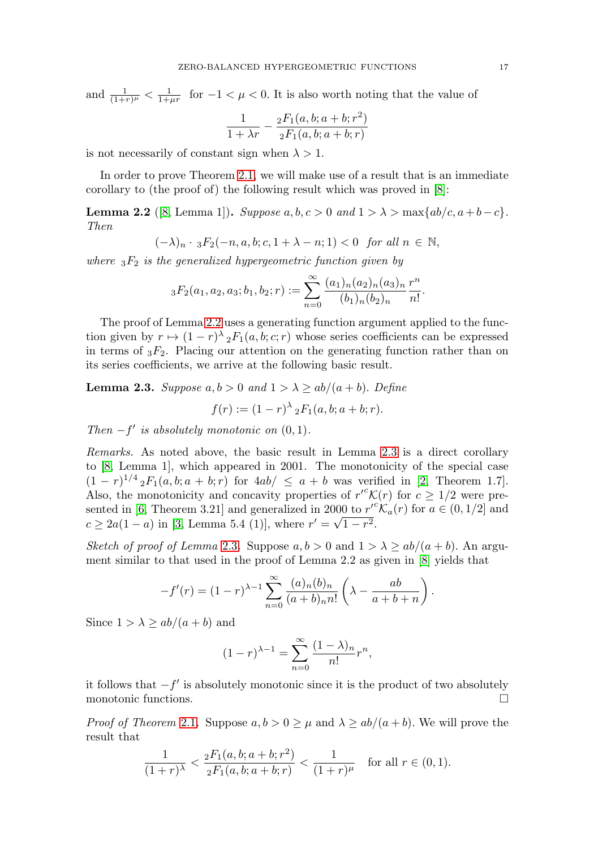and  $\frac{1}{(1+r)^{\mu}} < \frac{1}{1+\mu r}$  for  $-1 < \mu < 0$ . It is also worth noting that the value of

$$
\frac{1}{1 + \lambda r} - \frac{{}_2 F_1(a, b; a + b; r^2)}{{}_2 F_1(a, b; a + b; r)}
$$

is not necessarily of constant sign when  $\lambda > 1$ .

In order to prove Theorem [2.1,](#page-1-4) we will make use of a result that is an immediate corollary to (the proof of) the following result which was proved in [\[8\]](#page-4-8):

<span id="page-2-0"></span>**Lemma 2.2** ([\[8,](#page-4-8) Lemma 1]). Suppose  $a, b, c > 0$  and  $1 > \lambda > \max\{ab/c, a+b-c\}$ . Then

$$
(-\lambda)_n\cdot {}_3F_2(-n,a,b;c,1+\lambda-n;1)<0\ \hbox{ for all }n\,\in\,{\mathbb N},
$$

where  ${}_{3}F_{2}$  is the generalized hypergeometric function given by

$$
{}_3F_2(a_1, a_2, a_3; b_1, b_2; r) := \sum_{n=0}^{\infty} \frac{(a_1)_n (a_2)_n (a_3)_n}{(b_1)_n (b_2)_n} \frac{r^n}{n!}.
$$

The proof of Lemma [2.2](#page-2-0) uses a generating function argument applied to the function given by  $r \mapsto (1-r)^{\lambda} {}_{2}F_{1}(a,b;c;r)$  whose series coefficients can be expressed in terms of  ${}_{3}F_{2}$ . Placing our attention on the generating function rather than on its series coefficients, we arrive at the following basic result.

<span id="page-2-1"></span>**Lemma 2.3.** Suppose  $a, b > 0$  and  $1 > \lambda \ge ab/(a + b)$ . Define

$$
f(r) := (1 - r)^{\lambda} {}_{2}F_{1}(a, b; a + b; r).
$$

Then  $-f'$  is absolutely monotonic on  $(0, 1)$ .

Remarks. As noted above, the basic result in Lemma [2.3](#page-2-1) is a direct corollary to [\[8,](#page-4-8) Lemma 1], which appeared in 2001. The monotonicity of the special case  $(1 - r)^{1/4} {}_{2}F_{1}(a, b; a + b; r)$  for  $4ab / \le a + b$  was verified in [\[2,](#page-4-9) Theorem 1.7]. Also, the monotonicity and concavity properties of  $r^{c} \mathcal{K}(r)$  for  $c \geq 1/2$  were pre-sented in [\[6,](#page-4-0) Theorem 3.21] and generalized in 2000 to  $r'^c \mathcal{K}_a(r)$  for  $a \in (0, 1/2]$  and  $c \ge 2a(1-a)$  in [\[3,](#page-4-10) Lemma 5.4 (1)], where  $r' = \sqrt{1-r^2}$ .

Sketch of proof of Lemma [2.3](#page-2-1). Suppose  $a, b > 0$  and  $1 > \lambda \ge ab/(a + b)$ . An argument similar to that used in the proof of Lemma 2.2 as given in [\[8\]](#page-4-8) yields that

$$
-f'(r) = (1-r)^{\lambda-1} \sum_{n=0}^{\infty} \frac{(a)_n (b)_n}{(a+b)_n n!} \left(\lambda - \frac{ab}{a+b+n}\right).
$$

Since  $1 > \lambda \ge ab/(a + b)$  and

$$
(1-r)^{\lambda-1} = \sum_{n=0}^{\infty} \frac{(1-\lambda)_n}{n!} r^n,
$$

it follows that  $-f'$  is absolutely monotonic since it is the product of two absolutely monotonic functions.  $\Box$ 

*Proof of Theorem [2.1](#page-1-4).* Suppose  $a, b > 0 \ge \mu$  and  $\lambda \ge ab/(a + b)$ . We will prove the result that

$$
\frac{1}{(1+r)^{\lambda}} < \frac{{}_2F_1(a,b;a+b;r^2)}{{}_2F_1(a,b;a+b;r)} < \frac{1}{(1+r)^{\mu}} \quad \text{for all } r \in (0,1).
$$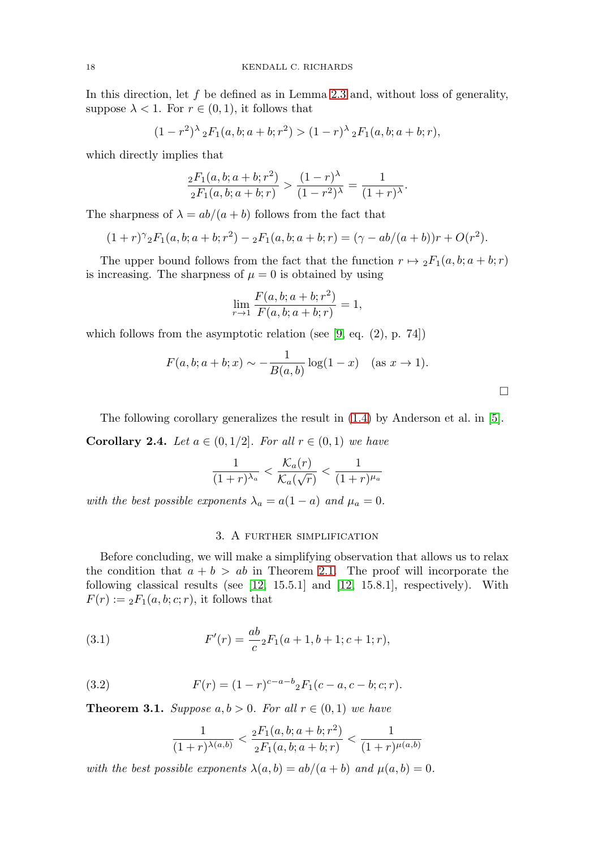In this direction, let  $f$  be defined as in Lemma [2.3](#page-2-1) and, without loss of generality, suppose  $\lambda < 1$ . For  $r \in (0, 1)$ , it follows that

$$
(1 - r2)λ 2F1(a, b; a + b; r2) > (1 - r)λ 2F1(a, b; a + b; r),
$$

which directly implies that

$$
\frac{{}_2F_1(a,b;a+b;r^2)}{{}_2F_1(a,b;a+b;r)} > \frac{(1-r)^{\lambda}}{(1-r^2)^{\lambda}} = \frac{1}{(1+r)^{\lambda}}.
$$

The sharpness of  $\lambda = ab/(a + b)$  follows from the fact that

$$
(1+r)^{\gamma} {}_{2}F_{1}(a,b;a+b;r^{2}) - {}_{2}F_{1}(a,b;a+b;r) = (\gamma - ab/(a+b))r + O(r^{2}).
$$

The upper bound follows from the fact that the function  $r \mapsto {}_2F_1(a, b; a + b; r)$ is increasing. The sharpness of  $\mu = 0$  is obtained by using

$$
\lim_{r \to 1} \frac{F(a, b; a + b; r^2)}{F(a, b; a + b; r)} = 1,
$$

which follows from the asymptotic relation (see [\[9,](#page-4-1) eq. (2), p. 74])

$$
F(a, b; a + b; x) \sim -\frac{1}{B(a, b)} \log(1 - x)
$$
 (as  $x \to 1$ ).

 $\Box$ 

The following corollary generalizes the result in [\(1.4\)](#page-1-3) by Anderson et al. in [\[5\]](#page-4-7).

**Corollary 2.4.** Let  $a \in (0, 1/2]$ . For all  $r \in (0, 1)$  we have

$$
\frac{1}{(1+r)^{\lambda_a}} < \frac{\mathcal{K}_a(r)}{\mathcal{K}_a(\sqrt{r})} < \frac{1}{(1+r)^{\mu_a}}
$$

with the best possible exponents  $\lambda_a = a(1 - a)$  and  $\mu_a = 0$ .

# 3. A further simplification

Before concluding, we will make a simplifying observation that allows us to relax the condition that  $a + b > ab$  in Theorem [2.1.](#page-1-4) The proof will incorporate the following classical results (see [\[12,](#page-5-2) 15.5.1] and [\[12,](#page-5-2) 15.8.1], respectively). With  $F(r) := {}_2F_1(a, b; c; r)$ , it follows that

<span id="page-3-0"></span>(3.1) 
$$
F'(r) = \frac{ab}{c} {}_2F_1(a+1,b+1;c+1;r),
$$

<span id="page-3-1"></span>(3.2) 
$$
F(r) = (1 - r)^{c - a - b} {}_{2}F_{1}(c - a, c - b; c; r).
$$

**Theorem 3.1.** Suppose  $a, b > 0$ . For all  $r \in (0, 1)$  we have

$$
\frac{1}{(1+r)^{\lambda(a,b)}} < \frac{{}_2F_1(a,b;a+b;r^2)}{{}_2F_1(a,b;a+b;r)} < \frac{1}{(1+r)^{\mu(a,b)}}
$$

with the best possible exponents  $\lambda(a, b) = ab/(a + b)$  and  $\mu(a, b) = 0$ .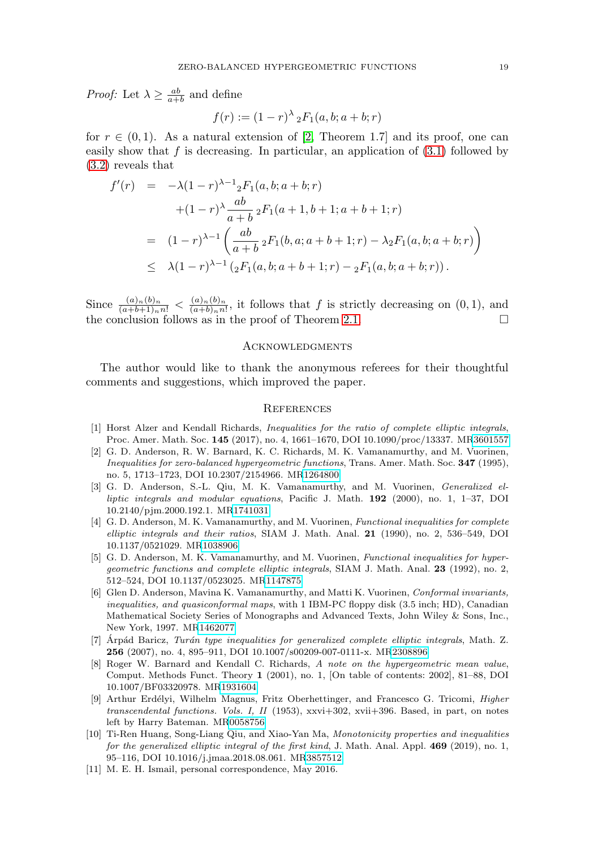*Proof:* Let  $\lambda \geq \frac{ab}{a+b}$  and define

$$
f(r) := (1 - r)^{\lambda} {}_{2}F_{1}(a, b; a + b; r)
$$

for  $r \in (0,1)$ . As a natural extension of [\[2,](#page-4-9) Theorem 1.7] and its proof, one can easily show that f is decreasing. In particular, an application of  $(3.1)$  followed by [\(3.2\)](#page-3-1) reveals that

$$
f'(r) = -\lambda (1 - r)^{\lambda - 1} {}_{2}F_{1}(a, b; a + b; r)
$$
  
+  $(1 - r)^{\lambda} \frac{ab}{a + b} {}_{2}F_{1}(a + 1, b + 1; a + b + 1; r)$   
=  $(1 - r)^{\lambda - 1} \left( \frac{ab}{a + b} {}_{2}F_{1}(b, a; a + b + 1; r) - \lambda_{2}F_{1}(a, b; a + b; r) \right)$   
 $\leq \lambda (1 - r)^{\lambda - 1} ({}_{2}F_{1}(a, b; a + b + 1; r) - {}_{2}F_{1}(a, b; a + b; r)).$ 

Since  $\frac{(a)_n(b)_n}{(a+b+1)_n n!} < \frac{(a)_n(b)_n}{(a+b)_n n!}$ , it follows that f is strictly decreasing on  $(0,1)$ , and the conclusion follows as in the proof of Theorem [2.1.](#page-1-4)  $\Box$ 

#### **ACKNOWLEDGMENTS**

The author would like to thank the anonymous referees for their thoughtful comments and suggestions, which improved the paper.

#### **REFERENCES**

- <span id="page-4-5"></span>[1] Horst Alzer and Kendall Richards, Inequalities for the ratio of complete elliptic integrals, Proc. Amer. Math. Soc. **145** (2017), no. 4, 1661–1670, DOI 10.1090/proc/13337. M[R3601557](https://www.ams.org/mathscinet-getitem?mr=3601557)
- <span id="page-4-9"></span>[2] G. D. Anderson, R. W. Barnard, K. C. Richards, M. K. Vamanamurthy, and M. Vuorinen, Inequalities for zero-balanced hypergeometric functions, Trans. Amer. Math. Soc. **347** (1995), no. 5, 1713–1723, DOI 10.2307/2154966. M[R1264800](https://www.ams.org/mathscinet-getitem?mr=1264800)
- <span id="page-4-10"></span>[3] G. D. Anderson, S.-L. Qiu, M. K. Vamanamurthy, and M. Vuorinen, Generalized elliptic integrals and modular equations, Pacific J. Math. **192** (2000), no. 1, 1–37, DOI 10.2140/pjm.2000.192.1. M[R1741031](https://www.ams.org/mathscinet-getitem?mr=1741031)
- <span id="page-4-4"></span>[4] G. D. Anderson, M. K. Vamanamurthy, and M. Vuorinen, Functional inequalities for complete elliptic integrals and their ratios, SIAM J. Math. Anal. **21** (1990), no. 2, 536–549, DOI 10.1137/0521029. M[R1038906](https://www.ams.org/mathscinet-getitem?mr=1038906)
- <span id="page-4-7"></span>[5] G. D. Anderson, M. K. Vamanamurthy, and M. Vuorinen, Functional inequalities for hypergeometric functions and complete elliptic integrals, SIAM J. Math. Anal. **23** (1992), no. 2, 512–524, DOI 10.1137/0523025. M[R1147875](https://www.ams.org/mathscinet-getitem?mr=1147875)
- <span id="page-4-0"></span>[6] Glen D. Anderson, Mavina K. Vamanamurthy, and Matti K. Vuorinen, Conformal invariants, inequalities, and quasiconformal maps, with 1 IBM-PC floppy disk (3.5 inch; HD), Canadian Mathematical Society Series of Monographs and Advanced Texts, John Wiley & Sons, Inc., New York, 1997. M[R1462077](https://www.ams.org/mathscinet-getitem?mr=1462077)
- <span id="page-4-2"></span> $[7]$  Árpád Baricz, Turán type inequalities for generalized complete elliptic integrals, Math. Z. **256** (2007), no. 4, 895–911, DOI 10.1007/s00209-007-0111-x. M[R2308896](https://www.ams.org/mathscinet-getitem?mr=2308896)
- <span id="page-4-8"></span>[8] Roger W. Barnard and Kendall C. Richards, A note on the hypergeometric mean value, Comput. Methods Funct. Theory **1** (2001), no. 1, [On table of contents: 2002], 81–88, DOI 10.1007/BF03320978. M[R1931604](https://www.ams.org/mathscinet-getitem?mr=1931604)
- <span id="page-4-1"></span>[9] Arthur Erdélyi, Wilhelm Magnus, Fritz Oberhettinger, and Francesco G. Tricomi, *Higher* transcendental functions. Vols. I, II (1953), xxvi+302, xvii+396. Based, in part, on notes left by Harry Bateman. M[R0058756](https://www.ams.org/mathscinet-getitem?mr=0058756)
- <span id="page-4-3"></span>[10] Ti-Ren Huang, Song-Liang Qiu, and Xiao-Yan Ma, Monotonicity properties and inequalities for the generalized elliptic integral of the first kind, J. Math. Anal. Appl. **469** (2019), no. 1, 95–116, DOI 10.1016/j.jmaa.2018.08.061. M[R3857512](https://www.ams.org/mathscinet-getitem?mr=3857512)
- <span id="page-4-6"></span>[11] M. E. H. Ismail, personal correspondence, May 2016.